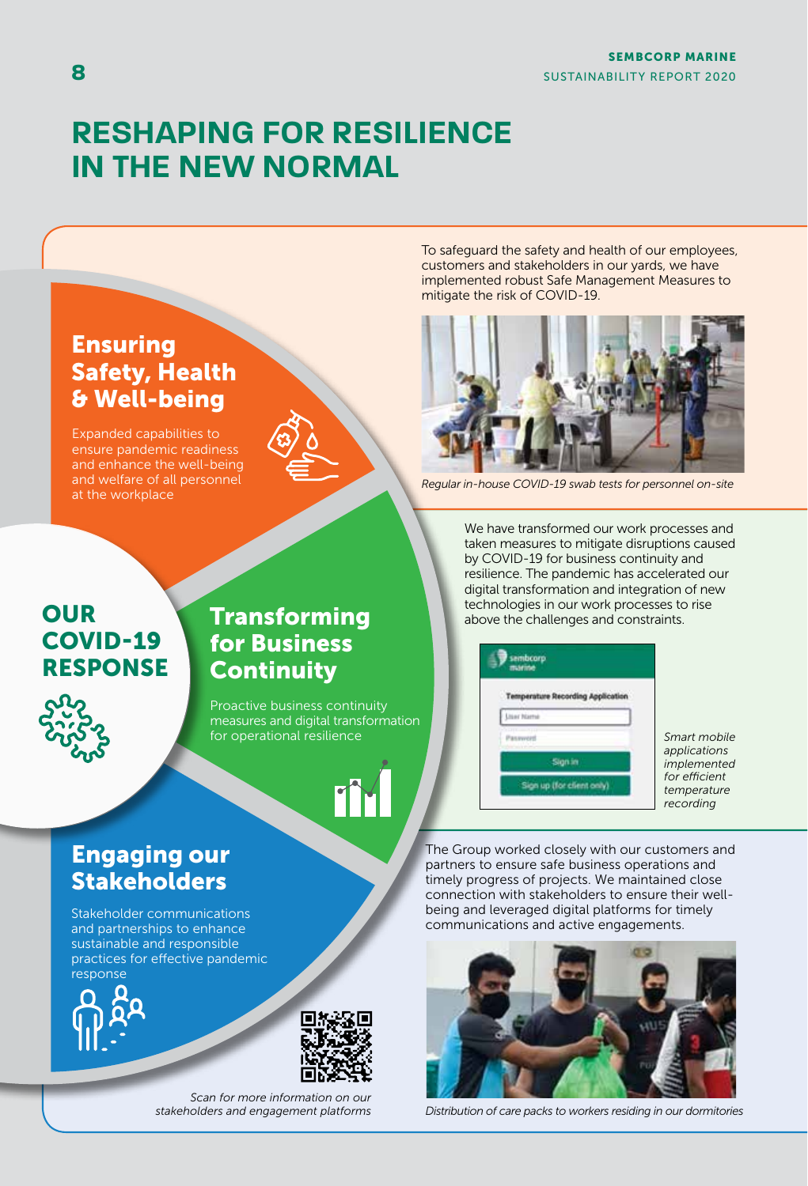# **RESHAPING FOR RESILIENCE IN THE NEW NORMAL**



To safeguard the safety and health of our employees, customers and stakeholders in our yards, we have implemented robust Safe Management Measures to mitigate the risk of COVID-19.



*Regular in-house COVID-19 swab tests for personnel on-site*

# **OUR** COVID-19 RESPONSE



Proactive business continuity measures and digital transformation for operational resilience

# TY

We have transformed our work processes and taken measures to mitigate disruptions caused by COVID-19 for business continuity and resilience. The pandemic has accelerated our digital transformation and integration of new technologies in our work processes to rise above the challenges and constraints.



*Smart mobile applications implemented for efficient temperature recording*

The Group worked closely with our customers and partners to ensure safe business operations and timely progress of projects. We maintained close connection with stakeholders to ensure their wellbeing and leveraged digital platforms for timely communications and active engagements.



*Distribution of care packs to workers residing in our dormitories*

# Engaging our Stakeholders

Stakeholder communications and partnerships to enhance sustainable and responsible practices for effective pandemic response





*Scan for more information on our stakeholders and engagement platforms*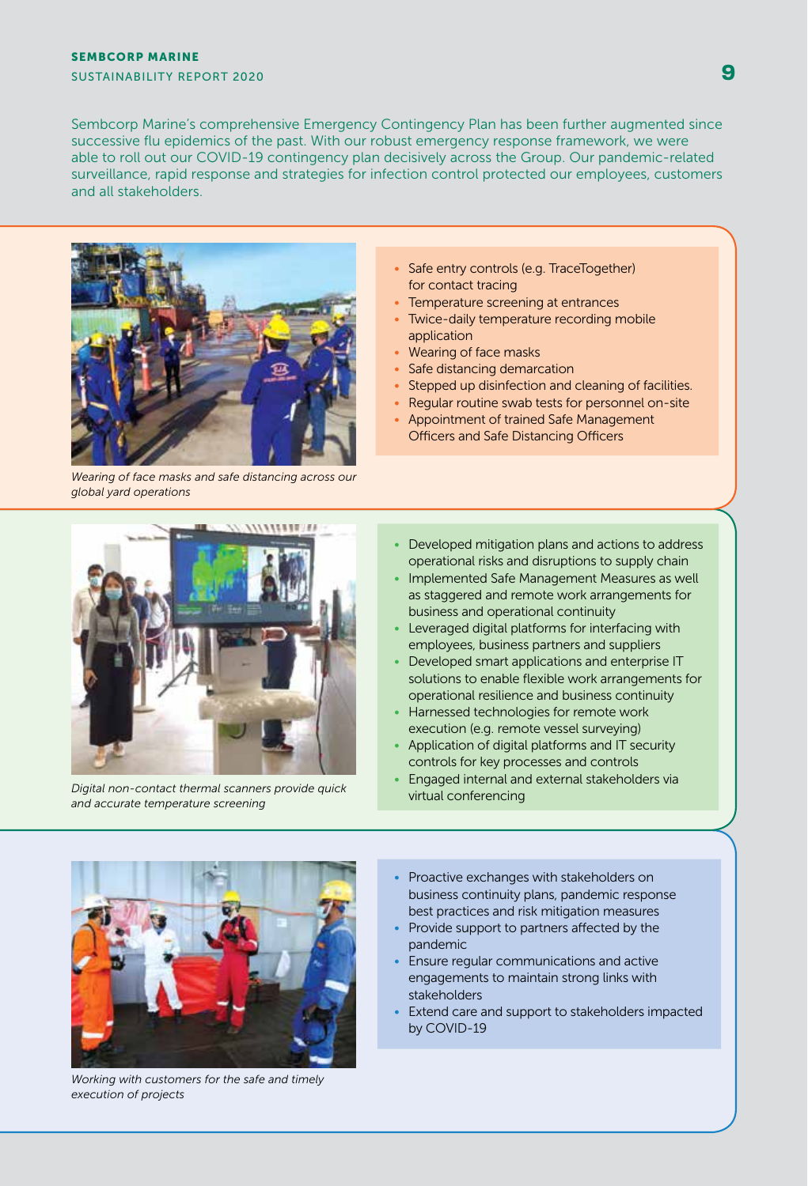# SEMBCORP MARINE

SUSTAINABILITY REPORT 2020

Sembcorp Marine's comprehensive Emergency Contingency Plan has been further augmented since successive flu epidemics of the past. With our robust emergency response framework, we were able to roll out our COVID-19 contingency plan decisively across the Group. Our pandemic-related surveillance, rapid response and strategies for infection control protected our employees, customers and all stakeholders.



*Wearing of face masks and safe distancing across our global yard operations*

- Safe entry controls (e.g. TraceTogether) for contact tracing
- Temperature screening at entrances
- Twice-daily temperature recording mobile application
- Wearing of face masks
- Safe distancing demarcation
- Stepped up disinfection and cleaning of facilities.
- Regular routine swab tests for personnel on-site
- Appointment of trained Safe Management Officers and Safe Distancing Officers



*Digital non-contact thermal scanners provide quick and accurate temperature screening*

- Developed mitigation plans and actions to address operational risks and disruptions to supply chain
- Implemented Safe Management Measures as well as staggered and remote work arrangements for business and operational continuity
- Leveraged digital platforms for interfacing with employees, business partners and suppliers
- Developed smart applications and enterprise IT solutions to enable flexible work arrangements for operational resilience and business continuity
- Harnessed technologies for remote work execution (e.g. remote vessel surveying)
- Application of digital platforms and IT security controls for key processes and controls
- Engaged internal and external stakeholders via virtual conferencing



*Working with customers for the safe and timely execution of projects*

- Proactive exchanges with stakeholders on business continuity plans, pandemic response best practices and risk mitigation measures
- Provide support to partners affected by the pandemic
- Ensure regular communications and active engagements to maintain strong links with stakeholders
- Extend care and support to stakeholders impacted by COVID-19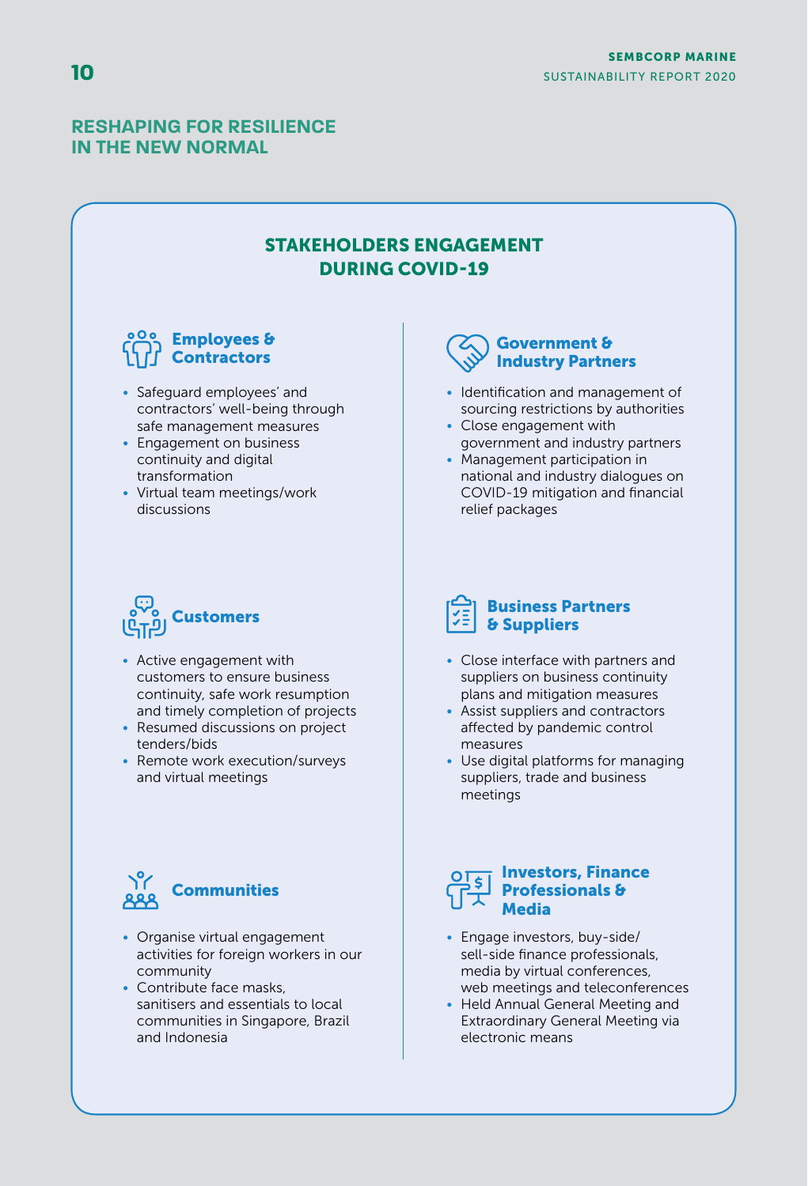### **RESHAPING FOR RESILIENCE IN THE NEW NORMAL**

# STAKEHOLDERS ENGAGEMENT DURING COVID-19



- Safeguard employees' and contractors' well-being through safe management measures
- Engagement on business continuity and digital transformation
- Virtual team meetings/work discussions



- Active engagement with customers to ensure business continuity, safe work resumption and timely completion of projects
- Resumed discussions on project tenders/bids
- Remote work execution/surveys and virtual meetings



- Organise virtual engagement activities for foreign workers in our community
- Contribute face masks, sanitisers and essentials to local communities in Singapore, Brazil and Indonesia

## Government & Industry Partners

- Identification and management of sourcing restrictions by authorities
- Close engagement with government and industry partners
- Management participation in national and industry dialogues on COVID-19 mitigation and financial relief packages

## Business Partners & Suppliers

- Close interface with partners and suppliers on business continuity plans and mitigation measures
- Assist suppliers and contractors affected by pandemic control measures
- Use digital platforms for managing suppliers, trade and business meetings

#### Investors, Finance Professionals & **Media**

- Engage investors, buy-side/ sell-side finance professionals, media by virtual conferences, web meetings and teleconferences
- Held Annual General Meeting and Extraordinary General Meeting via electronic means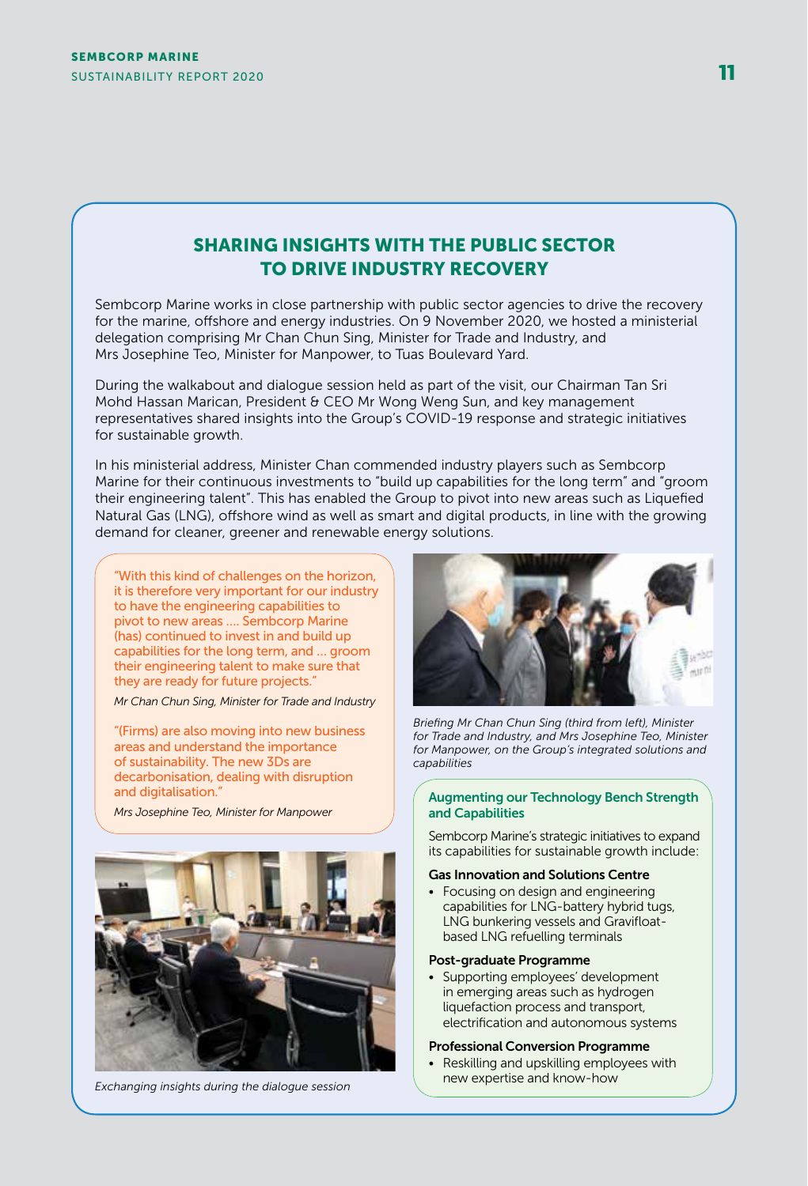## SHARING INSIGHTS WITH THE PUBLIC SECTOR TO DRIVE INDUSTRY RECOVERY

Sembcorp Marine works in close partnership with public sector agencies to drive the recovery for the marine, offshore and energy industries. On 9 November 2020, we hosted a ministerial delegation comprising Mr Chan Chun Sing, Minister for Trade and Industry, and Mrs Josephine Teo, Minister for Manpower, to Tuas Boulevard Yard.

During the walkabout and dialogue session held as part of the visit, our Chairman Tan Sri Mohd Hassan Marican, President & CEO Mr Wong Weng Sun, and key management representatives shared insights into the Group's COVID-19 response and strategic initiatives for sustainable growth.

In his ministerial address, Minister Chan commended industry players such as Sembcorp Marine for their continuous investments to "build up capabilities for the long term" and "groom their engineering talent". This has enabled the Group to pivot into new areas such as Liquefied Natural Gas (LNG), offshore wind as well as smart and digital products, in line with the growing demand for cleaner, greener and renewable energy solutions.

"With this kind of challenges on the horizon, it is therefore very important for our industry to have the engineering capabilities to pivot to new areas …. Sembcorp Marine (has) continued to invest in and build up capabilities for the long term, and … groom their engineering talent to make sure that they are ready for future projects."

*Mr Chan Chun Sing, Minister for Trade and Industry*

"(Firms) are also moving into new business areas and understand the importance of sustainability. The new 3Ds are decarbonisation, dealing with disruption and digitalisation."

*Mrs Josephine Teo, Minister for Manpower*



*Exchanging insights during the dialogue session*



*Briefing Mr Chan Chun Sing (third from left), Minister for Trade and Industry, and Mrs Josephine Teo, Minister for Manpower, on the Group's integrated solutions and capabilities*

#### Augmenting our Technology Bench Strength and Capabilities

Sembcorp Marine's strategic initiatives to expand its capabilities for sustainable growth include:

#### Gas Innovation and Solutions Centre

• Focusing on design and engineering capabilities for LNG-battery hybrid tugs, LNG bunkering vessels and Gravifloatbased LNG refuelling terminals

#### Post-graduate Programme

• Supporting employees' development in emerging areas such as hydrogen liquefaction process and transport, electrification and autonomous systems

#### Professional Conversion Programme

• Reskilling and upskilling employees with new expertise and know-how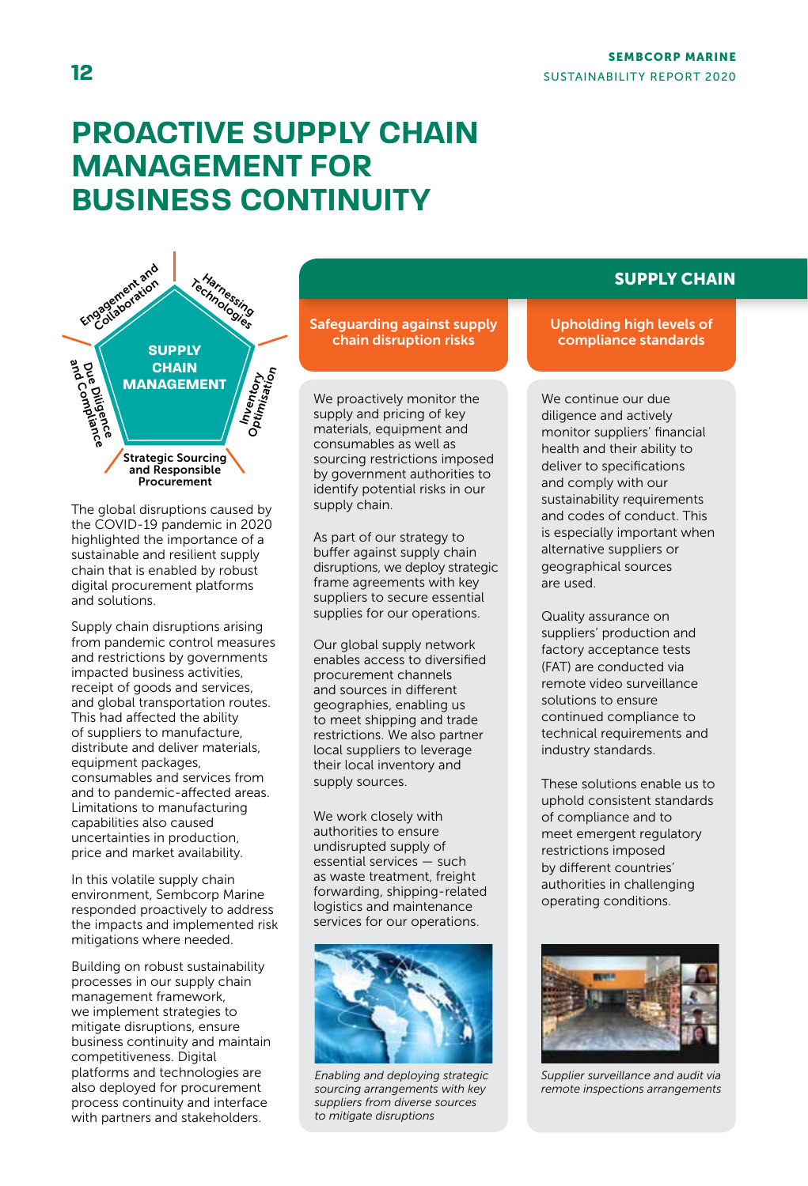# **PROACTIVE SUPPLY CHAIN MANAGEMENT FOR BUSINESS CONTINUITY**



The global disruptions caused by the COVID-19 pandemic in 2020 highlighted the importance of a sustainable and resilient supply chain that is enabled by robust digital procurement platforms and solutions.

Supply chain disruptions arising from pandemic control measures and restrictions by governments impacted business activities, receipt of goods and services, and global transportation routes. This had affected the ability of suppliers to manufacture, distribute and deliver materials, equipment packages, consumables and services from and to pandemic-affected areas. Limitations to manufacturing capabilities also caused uncertainties in production, price and market availability.

In this volatile supply chain environment, Sembcorp Marine responded proactively to address the impacts and implemented risk mitigations where needed.

Building on robust sustainability processes in our supply chain management framework, we implement strategies to mitigate disruptions, ensure business continuity and maintain competitiveness. Digital platforms and technologies are also deployed for procurement process continuity and interface with partners and stakeholders.

Safeguarding against supply chain disruption risks

We proactively monitor the supply and pricing of key materials, equipment and consumables as well as sourcing restrictions imposed by government authorities to identify potential risks in our supply chain.

As part of our strategy to buffer against supply chain disruptions, we deploy strategic frame agreements with key suppliers to secure essential supplies for our operations.

Our global supply network enables access to diversified procurement channels and sources in different geographies, enabling us to meet shipping and trade restrictions. We also partner local suppliers to leverage their local inventory and supply sources.

We work closely with authorities to ensure undisrupted supply of essential services — such as waste treatment, freight forwarding, shipping-related logistics and maintenance services for our operations.



*Enabling and deploying strategic sourcing arrangements with key suppliers from diverse sources to mitigate disruptions*

# SUPPLY CHAIN

#### Upholding high levels of compliance standards

We continue our due diligence and actively monitor suppliers' financial health and their ability to deliver to specifications and comply with our sustainability requirements and codes of conduct. This is especially important when alternative suppliers or geographical sources are used.

Quality assurance on suppliers' production and factory acceptance tests (FAT) are conducted via remote video surveillance solutions to ensure continued compliance to technical requirements and industry standards.

These solutions enable us to uphold consistent standards of compliance and to meet emergent regulatory restrictions imposed by different countries' authorities in challenging operating conditions.



*Supplier surveillance and audit via remote inspections arrangements*